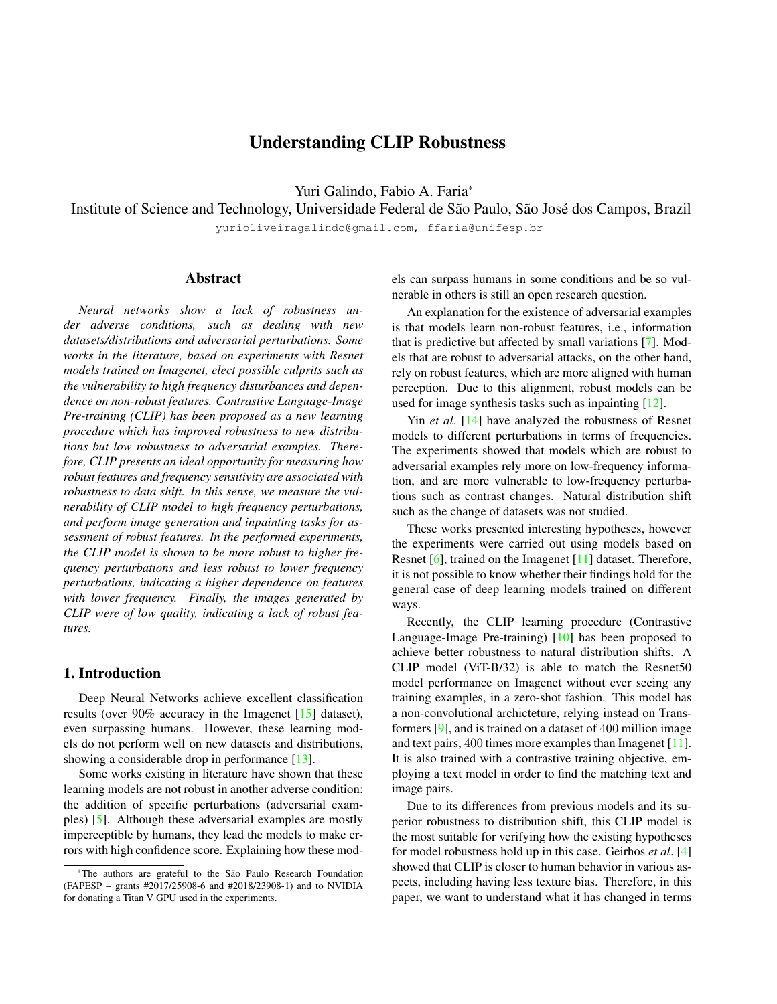# Understanding CLIP Robustness

Yuri Galindo, Fabio A. Faria\*

Institute of Science and Technology, Universidade Federal de São Paulo, São José dos Campos, Brazil

yurioliveiragalindo@gmail.com, ffaria@unifesp.br

## Abstract

*Neural networks show a lack of robustness under adverse conditions, such as dealing with new datasets/distributions and adversarial perturbations. Some works in the literature, based on experiments with Resnet models trained on Imagenet, elect possible culprits such as the vulnerability to high frequency disturbances and dependence on non-robust features. Contrastive Language-Image Pre-training (CLIP) has been proposed as a new learning procedure which has improved robustness to new distributions but low robustness to adversarial examples. Therefore, CLIP presents an ideal opportunity for measuring how robust features and frequency sensitivity are associated with robustness to data shift. In this sense, we measure the vulnerability of CLIP model to high frequency perturbations, and perform image generation and inpainting tasks for assessment of robust features. In the performed experiments, the CLIP model is shown to be more robust to higher frequency perturbations and less robust to lower frequency perturbations, indicating a higher dependence on features with lower frequency. Finally, the images generated by CLIP were of low quality, indicating a lack of robust features.*

### 1. Introduction

Deep Neural Networks achieve excellent classification results (over 90% accuracy in the Imagenet [\[15\]](#page-3-0) dataset), even surpassing humans. However, these learning models do not perform well on new datasets and distributions, showing a considerable drop in performance [\[13\]](#page-3-1).

Some works existing in literature have shown that these learning models are not robust in another adverse condition: the addition of specific perturbations (adversarial examples) [\[5\]](#page-3-2). Although these adversarial examples are mostly imperceptible by humans, they lead the models to make errors with high confidence score. Explaining how these models can surpass humans in some conditions and be so vulnerable in others is still an open research question.

An explanation for the existence of adversarial examples is that models learn non-robust features, i.e., information that is predictive but affected by small variations [\[7\]](#page-3-3). Models that are robust to adversarial attacks, on the other hand, rely on robust features, which are more aligned with human perception. Due to this alignment, robust models can be used for image synthesis tasks such as inpainting [\[12\]](#page-3-4).

Yin *et al*. [\[14\]](#page-3-5) have analyzed the robustness of Resnet models to different perturbations in terms of frequencies. The experiments showed that models which are robust to adversarial examples rely more on low-frequency information, and are more vulnerable to low-frequency perturbations such as contrast changes. Natural distribution shift such as the change of datasets was not studied.

These works presented interesting hypotheses, however the experiments were carried out using models based on Resnet [\[6\]](#page-3-6), trained on the Imagenet [\[11\]](#page-3-7) dataset. Therefore, it is not possible to know whether their findings hold for the general case of deep learning models trained on different ways.

Recently, the CLIP learning procedure (Contrastive Language-Image Pre-training) [\[10\]](#page-3-8) has been proposed to achieve better robustness to natural distribution shifts. A CLIP model (ViT-B/32) is able to match the Resnet50 model performance on Imagenet without ever seeing any training examples, in a zero-shot fashion. This model has a non-convolutional archicteture, relying instead on Transformers [\[9\]](#page-3-9), and is trained on a dataset of 400 million image and text pairs, 400 times more examples than Imagenet [\[11\]](#page-3-7). It is also trained with a contrastive training objective, employing a text model in order to find the matching text and image pairs.

Due to its differences from previous models and its superior robustness to distribution shift, this CLIP model is the most suitable for verifying how the existing hypotheses for model robustness hold up in this case. Geirhos *et al*. [\[4\]](#page-3-10) showed that CLIP is closer to human behavior in various aspects, including having less texture bias. Therefore, in this paper, we want to understand what it has changed in terms

<sup>\*</sup>The authors are grateful to the Sao Paulo Research Foundation ˜ (FAPESP – grants #2017/25908-6 and #2018/23908-1) and to NVIDIA for donating a Titan V GPU used in the experiments.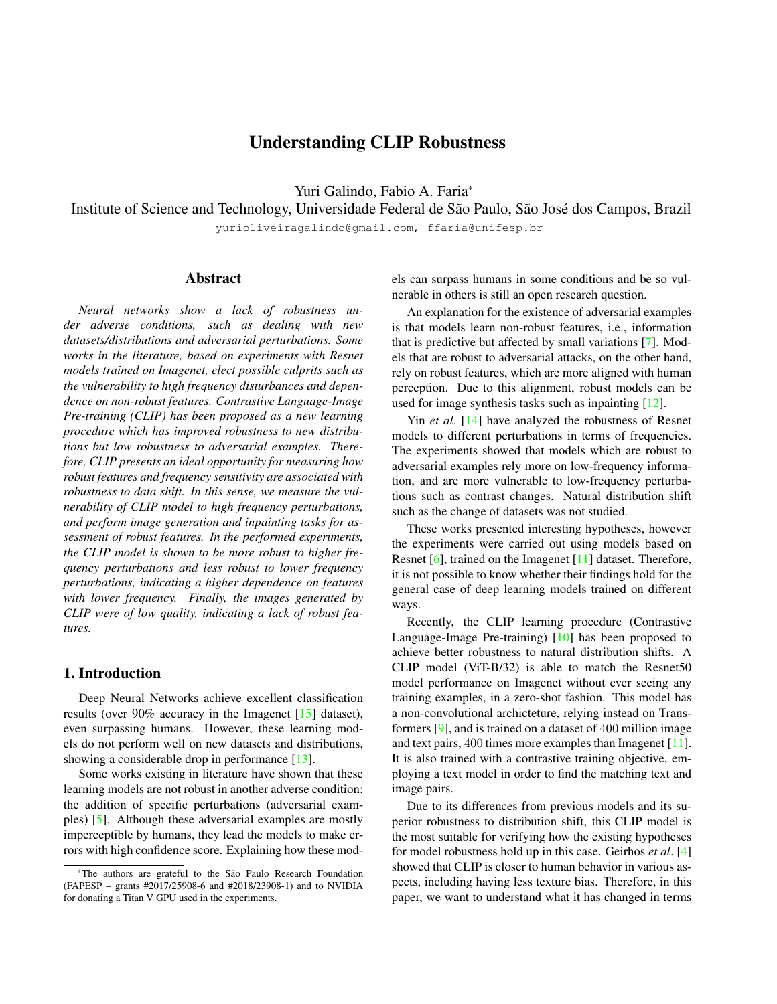of frequency vulnerability and feature robustness.

### 2. Experimental Methodology

In this section, we performed the experiments using CLIP ViT-B/32 as a zero-shot classifier. It received the images as usual and text prompts in the format "a photo of a *class*", for each possible class of the dataset. For the Imagenet100 dataset, in which each class corresponds to various names, we selected only the first given name. This procedure matches Resnet50 accuracy.

#### 2.1. Frequency sensitivity

This experiment measures the accuracy of the model for perturbations of different frequencies. We build the "Fourier heat map" described in [\[14\]](#page-3-5).

The Fourier basis vector  $(i, j)$  is the image  $U_{i,j}$  with norm 1 such that the discrete Fourier transform of the image,  $DFT(U_{i,j})$ , has the element  $(i,j)$  different from 0 and all other elements equal to  $0$  [\[1\]](#page-3-11). For each image  $X$  of the validation set and each Fourier basis vector  $(i, j)$ , we obtain a perturbed version  $\tilde{X}_{i,j}$  of the image for that specific frequency vector. This is described on the Equation [1,](#page-1-0) in which r is randomly chosen as  $-1$  or 1 and v is the norm of the perturbation. As in [\[14\]](#page-3-5), we used  $v = 4.0$  for CIFAR10 and  $v = 15.7$  for Imagenet.

$$
\tilde{X}_{i,j} = X + r \nu U_{i,j} \tag{1}
$$

<span id="page-1-0"></span>We then measure the accuracy obtained by the model averaged over the images perturbed with this Fourier basis vector  $(i, j)$ , which corresponds to the point  $(i, j)$  of our graph, centered on the origin. By obtaining the accuracy for the perturbation of all Fourier basis vectors, we can observe how the model behaves for perturbations of the whole frequency spectrum.

We performed this experiment on the test set of the CI-FAR10 dataset [\[8\]](#page-3-12), consisting of 10; 000 images with dimensions of  $32 \times 32$  divided in 10 categories, and on the Imagenet100 validation set, consisting of a subset of the Imagenet dataset composed of 100 randomly selected cate-gories <sup>[1](#page-1-1)</sup>. The images have dimensions of  $224 \times 224$ , with 50 examples per category. For the Imagenet experiments, we build a heatmap of size  $63 \times 63$ , discarding the higher frequencies. This is done to replicate the heatmaps produced in the original paper [\[14\]](#page-3-5) and better observe the frequencies used by the models. Experiments were built upon an existing implementation <sup>[2](#page-1-2)</sup>.

### 2.2. Robust Features

This experiment is qualitative, and aims to verify visually the quality of the features learned by the model. We follow the experimental methodology for inpainting and image generation described in [\[12\]](#page-3-4). Experiments were built upon the official implementation  $3$ 

For image generation, first we obtain the mean and standard deviation of the pixels of the images of the class of interest y. Then, we sample pixels assuming a normal distribution with the observed mean and deviation. Now, we apply projected gradient descent (PGD) in order to maximize the probability assigned by the model to the modified image  $x'$  while keeping the norm of the perturbation as less than  $= 40$ .

The Equation [2](#page-1-4) shows the minimization objective, in which  $\mathcal L$  is the Cross Entropy loss and  $x_0$  is the image sampled by the class distribution  $\mathcal{G}_{y}$ . C refers to the classification model, which takes an image as input and outputs class probabilities.

<span id="page-1-4"></span>
$$
X = \underset{s.t. ||x'-x_0||_2 \leq \varepsilon}{\arg \min_{x'}} \mathcal{L}\left(C(x') / y\right) \qquad X_0 \sim \mathcal{G}_y \tag{2}
$$

For the inpainting experiment, we randomly assign a region of the image of size  $60 \times 60$ , and substitute it by the mean of the pixels of the region, over each channel. Now, we apply PGD in order to maximize the probability assigned by the model while minimizing the pixels altered outside the region and keeping the norm of the perturbation as less than  $= 21.6$ .

Equation [3](#page-1-5) shows the minimization objective, in which is a constant,  $m$  is the mask matrix which is equal to 1 on the affected region and 0 elsewhere. ⊙ corresponds to element-wise multiplication. Other symbols have the same meaning as in Equation [2.](#page-1-4) In our experiments,  $= 10$ .

<span id="page-1-5"></span>
$$
X_I = \underset{s.t. ||x'-x_0||_2 \leq \varepsilon}{\arg \min} \mathcal{L}\left(C(x')\middle|y\right) + ||(x-x') \odot (1-m)||_2
$$
\n
$$
(3)
$$

# 3. Results and Discussion

This section presents the experiments performed in this paper and discusses the achieved results.

#### 3.1. Frequency sensitivity

On both CIFAR10 and Imagenet100 datasets, CLIP ViT-B/32 displayed a different behavior from what was previously observed in the Resnet50 model. We found that CLIP is less robust than the Resnet50 to perturbations in the lowfrequency domain, and more robust to perturbations in the highest frequencies. This can mean that CLIP relies more on low-frequency information, when compared to Resnet models [\[14\]](#page-3-5).

In Figure [1,](#page-2-0) we can see the error rates of both models for the CIFAR10 dataset. We can see that the Resnet isn't affected by the lowest frequency perturbations, shown in the

<span id="page-1-1"></span><sup>1</sup><kaggle.com/ambityga/imagenet100/metadata>

<span id="page-1-2"></span><sup>2</sup><github.com/gatheluck/FourierHeatmap>

<span id="page-1-3"></span><sup>3</sup>[github.com/MadryLab/robustness\\_applications](github.com/MadryLab/robustness_applications)